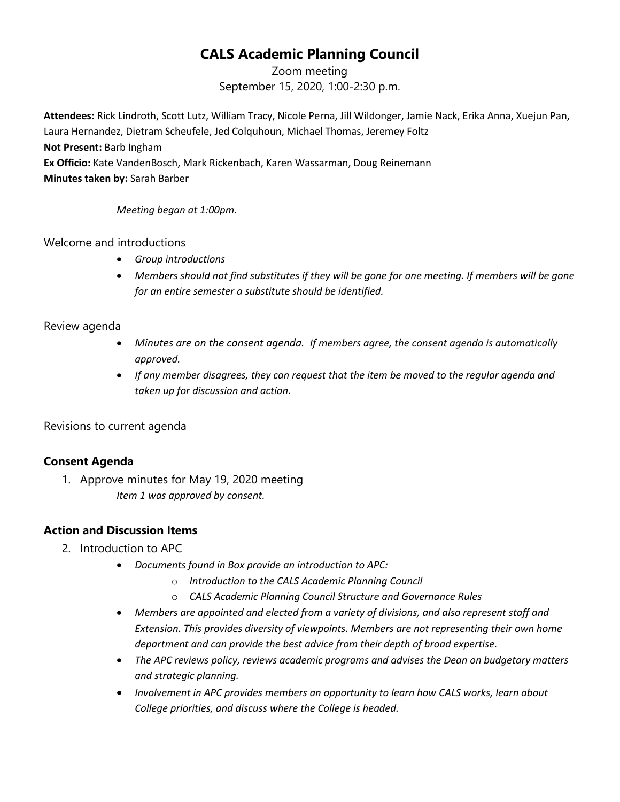# **CALS Academic Planning Council**

Zoom meeting September 15, 2020, 1:00-2:30 p.m.

**Attendees:** Rick Lindroth, Scott Lutz, William Tracy, Nicole Perna, Jill Wildonger, Jamie Nack, Erika Anna, Xuejun Pan, Laura Hernandez, Dietram Scheufele, Jed Colquhoun, Michael Thomas, Jeremey Foltz **Not Present:** Barb Ingham **Ex Officio:** Kate VandenBosch, Mark Rickenbach, Karen Wassarman, Doug Reinemann **Minutes taken by:** Sarah Barber

*Meeting began at 1:00pm.*

Welcome and introductions

- *Group introductions*
- *Members should not find substitutes if they will be gone for one meeting. If members will be gone for an entire semester a substitute should be identified.*

## Review agenda

- *Minutes are on the consent agenda. If members agree, the consent agenda is automatically approved.*
- *If any member disagrees, they can request that the item be moved to the regular agenda and taken up for discussion and action.*

Revisions to current agenda

# **Consent Agenda**

1. Approve minutes for May 19, 2020 meeting *Item 1 was approved by consent.*

# **Action and Discussion Items**

- 2. Introduction to APC
	- *Documents found in Box provide an introduction to APC:*
		- o *Introduction to the CALS Academic Planning Council*
		- o *CALS Academic Planning Council Structure and Governance Rules*
	- *Members are appointed and elected from a variety of divisions, and also represent staff and Extension. This provides diversity of viewpoints. Members are not representing their own home department and can provide the best advice from their depth of broad expertise.*
	- *The APC reviews policy, reviews academic programs and advises the Dean on budgetary matters and strategic planning.*
	- *Involvement in APC provides members an opportunity to learn how CALS works, learn about College priorities, and discuss where the College is headed.*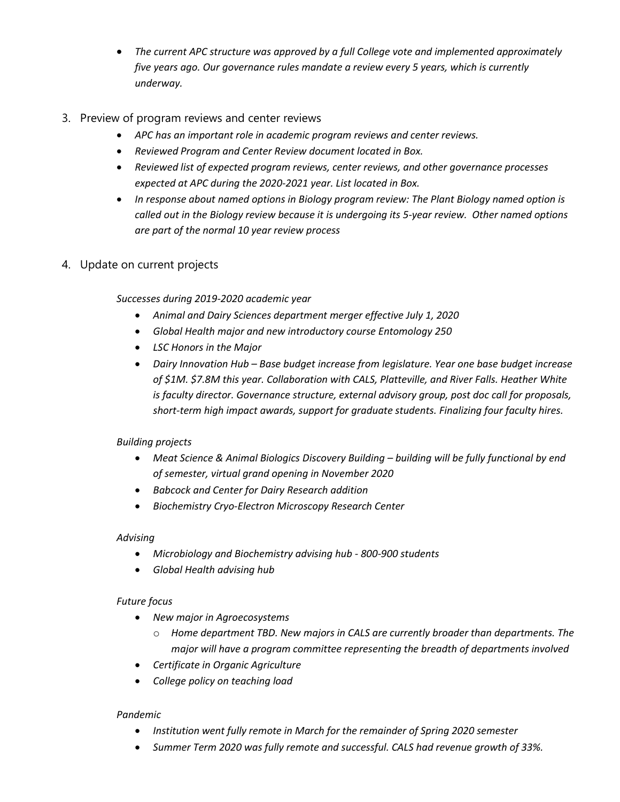- *The current APC structure was approved by a full College vote and implemented approximately five years ago. Our governance rules mandate a review every 5 years, which is currently underway.*
- 3. Preview of program reviews and center reviews
	- *APC has an important role in academic program reviews and center reviews.*
	- *Reviewed Program and Center Review document located in Box.*
	- *Reviewed list of expected program reviews, center reviews, and other governance processes expected at APC during the 2020-2021 year. List located in Box.*
	- *In response about named options in Biology program review: The Plant Biology named option is called out in the Biology review because it is undergoing its 5-year review. Other named options are part of the normal 10 year review process*
- 4. Update on current projects

*Successes during 2019-2020 academic year*

- *Animal and Dairy Sciences department merger effective July 1, 2020*
- *Global Health major and new introductory course Entomology 250*
- *LSC Honors in the Major*
- *Dairy Innovation Hub – Base budget increase from legislature. Year one base budget increase of \$1M. \$7.8M this year. Collaboration with CALS, Platteville, and River Falls. Heather White is faculty director. Governance structure, external advisory group, post doc call for proposals, short-term high impact awards, support for graduate students. Finalizing four faculty hires.*

#### *Building projects*

- *Meat Science & Animal Biologics Discovery Building – building will be fully functional by end of semester, virtual grand opening in November 2020*
- *Babcock and Center for Dairy Research addition*
- *Biochemistry Cryo-Electron Microscopy Research Center*

#### *Advising*

- *Microbiology and Biochemistry advising hub - 800-900 students*
- *Global Health advising hub*

#### *Future focus*

- *New major in Agroecosystems*
	- o *Home department TBD. New majors in CALS are currently broader than departments. The major will have a program committee representing the breadth of departments involved*
- *Certificate in Organic Agriculture*
- *College policy on teaching load*

#### *Pandemic*

- *Institution went fully remote in March for the remainder of Spring 2020 semester*
- *Summer Term 2020 was fully remote and successful. CALS had revenue growth of 33%.*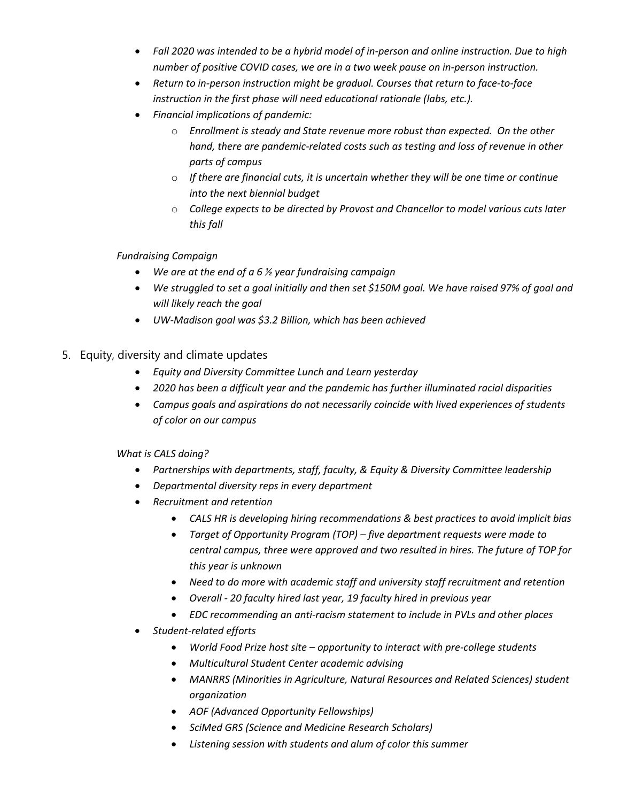- *Fall 2020 was intended to be a hybrid model of in-person and online instruction. Due to high number of positive COVID cases, we are in a two week pause on in-person instruction.*
- *Return to in-person instruction might be gradual. Courses that return to face-to-face instruction in the first phase will need educational rationale (labs, etc.).*
- *Financial implications of pandemic:*
	- o *Enrollment is steady and State revenue more robust than expected. On the other hand, there are pandemic-related costs such as testing and loss of revenue in other parts of campus*
	- o *If there are financial cuts, it is uncertain whether they will be one time or continue into the next biennial budget*
	- o *College expects to be directed by Provost and Chancellor to model various cuts later this fall*

#### *Fundraising Campaign*

- *We are at the end of a 6 ½ year fundraising campaign*
- *We struggled to set a goal initially and then set \$150M goal. We have raised 97% of goal and will likely reach the goal*
- *UW-Madison goal was \$3.2 Billion, which has been achieved*
- 5. Equity, diversity and climate updates
	- *Equity and Diversity Committee Lunch and Learn yesterday*
	- *2020 has been a difficult year and the pandemic has further illuminated racial disparities*
	- *Campus goals and aspirations do not necessarily coincide with lived experiences of students of color on our campus*

#### *What is CALS doing?*

- *Partnerships with departments, staff, faculty, & Equity & Diversity Committee leadership*
- *Departmental diversity reps in every department*
- *Recruitment and retention*
	- *CALS HR is developing hiring recommendations & best practices to avoid implicit bias*
	- *Target of Opportunity Program (TOP) – five department requests were made to central campus, three were approved and two resulted in hires. The future of TOP for this year is unknown*
	- *Need to do more with academic staff and university staff recruitment and retention*
	- *Overall - 20 faculty hired last year, 19 faculty hired in previous year*
	- *EDC recommending an anti-racism statement to include in PVLs and other places*
- *Student-related efforts*
	- *World Food Prize host site – opportunity to interact with pre-college students*
	- *Multicultural Student Center academic advising*
	- *MANRRS (Minorities in Agriculture, Natural Resources and Related Sciences) student organization*
	- *AOF (Advanced Opportunity Fellowships)*
	- *SciMed GRS (Science and Medicine Research Scholars)*
	- *Listening session with students and alum of color this summer*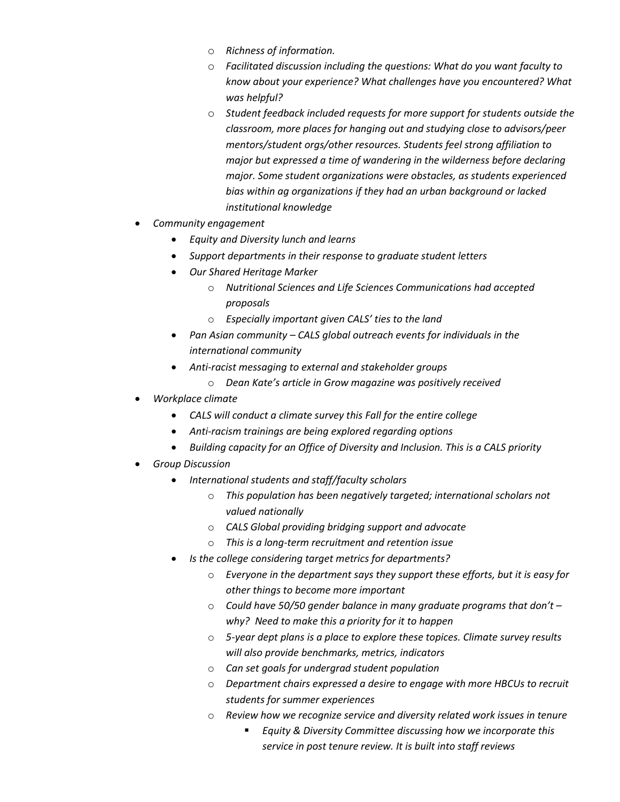- o *Richness of information.*
- o *Facilitated discussion including the questions: What do you want faculty to know about your experience? What challenges have you encountered? What was helpful?*
- o *Student feedback included requests for more support for students outside the classroom, more places for hanging out and studying close to advisors/peer mentors/student orgs/other resources. Students feel strong affiliation to major but expressed a time of wandering in the wilderness before declaring major. Some student organizations were obstacles, as students experienced bias within ag organizations if they had an urban background or lacked institutional knowledge*
- *Community engagement*
	- *Equity and Diversity lunch and learns*
	- *Support departments in their response to graduate student letters*
	- *Our Shared Heritage Marker*
		- o *Nutritional Sciences and Life Sciences Communications had accepted proposals*
		- o *Especially important given CALS' ties to the land*
	- *Pan Asian community – CALS global outreach events for individuals in the international community*
	- *Anti-racist messaging to external and stakeholder groups*
		- o *Dean Kate's article in Grow magazine was positively received*
- *Workplace climate*
	- *CALS will conduct a climate survey this Fall for the entire college*
	- *Anti-racism trainings are being explored regarding options*
	- *Building capacity for an Office of Diversity and Inclusion. This is a CALS priority*
- *Group Discussion*
	- *International students and staff/faculty scholars*
		- o *This population has been negatively targeted; international scholars not valued nationally*
		- o *CALS Global providing bridging support and advocate*
		- o *This is a long-term recruitment and retention issue*
	- *Is the college considering target metrics for departments?*
		- o *Everyone in the department says they support these efforts, but it is easy for other things to become more important*
		- o *Could have 50/50 gender balance in many graduate programs that don't – why? Need to make this a priority for it to happen*
		- o *5-year dept plans is a place to explore these topices. Climate survey results will also provide benchmarks, metrics, indicators*
		- o *Can set goals for undergrad student population*
		- o *Department chairs expressed a desire to engage with more HBCUs to recruit students for summer experiences*
		- o *Review how we recognize service and diversity related work issues in tenure*
			- *Equity & Diversity Committee discussing how we incorporate this service in post tenure review. It is built into staff reviews*